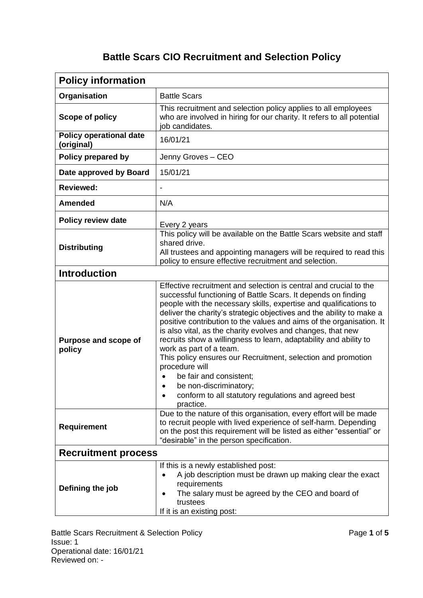## **Battle Scars CIO Recruitment and Selection Policy**

| <b>Policy information</b>                    |                                                                                                                                                                                                                                                                                                                                                                                                                                                                                                                                                                                                                                                                                                                                    |  |
|----------------------------------------------|------------------------------------------------------------------------------------------------------------------------------------------------------------------------------------------------------------------------------------------------------------------------------------------------------------------------------------------------------------------------------------------------------------------------------------------------------------------------------------------------------------------------------------------------------------------------------------------------------------------------------------------------------------------------------------------------------------------------------------|--|
| Organisation                                 | <b>Battle Scars</b>                                                                                                                                                                                                                                                                                                                                                                                                                                                                                                                                                                                                                                                                                                                |  |
| Scope of policy                              | This recruitment and selection policy applies to all employees<br>who are involved in hiring for our charity. It refers to all potential<br>job candidates.                                                                                                                                                                                                                                                                                                                                                                                                                                                                                                                                                                        |  |
| <b>Policy operational date</b><br>(original) | 16/01/21                                                                                                                                                                                                                                                                                                                                                                                                                                                                                                                                                                                                                                                                                                                           |  |
| Policy prepared by                           | Jenny Groves - CEO                                                                                                                                                                                                                                                                                                                                                                                                                                                                                                                                                                                                                                                                                                                 |  |
| Date approved by Board                       | 15/01/21                                                                                                                                                                                                                                                                                                                                                                                                                                                                                                                                                                                                                                                                                                                           |  |
| <b>Reviewed:</b>                             |                                                                                                                                                                                                                                                                                                                                                                                                                                                                                                                                                                                                                                                                                                                                    |  |
| <b>Amended</b>                               | N/A                                                                                                                                                                                                                                                                                                                                                                                                                                                                                                                                                                                                                                                                                                                                |  |
| <b>Policy review date</b>                    | Every 2 years                                                                                                                                                                                                                                                                                                                                                                                                                                                                                                                                                                                                                                                                                                                      |  |
| <b>Distributing</b>                          | This policy will be available on the Battle Scars website and staff<br>shared drive.<br>All trustees and appointing managers will be required to read this<br>policy to ensure effective recruitment and selection.                                                                                                                                                                                                                                                                                                                                                                                                                                                                                                                |  |
| <b>Introduction</b>                          |                                                                                                                                                                                                                                                                                                                                                                                                                                                                                                                                                                                                                                                                                                                                    |  |
| Purpose and scope of<br>policy               | Effective recruitment and selection is central and crucial to the<br>successful functioning of Battle Scars. It depends on finding<br>people with the necessary skills, expertise and qualifications to<br>deliver the charity's strategic objectives and the ability to make a<br>positive contribution to the values and aims of the organisation. It<br>is also vital, as the charity evolves and changes, that new<br>recruits show a willingness to learn, adaptability and ability to<br>work as part of a team.<br>This policy ensures our Recruitment, selection and promotion<br>procedure will<br>be fair and consistent;<br>be non-discriminatory;<br>conform to all statutory regulations and agreed best<br>practice. |  |
| <b>Requirement</b>                           | Due to the nature of this organisation, every effort will be made<br>to recruit people with lived experience of self-harm. Depending<br>on the post this requirement will be listed as either "essential" or<br>"desirable" in the person specification.                                                                                                                                                                                                                                                                                                                                                                                                                                                                           |  |
| <b>Recruitment process</b>                   |                                                                                                                                                                                                                                                                                                                                                                                                                                                                                                                                                                                                                                                                                                                                    |  |
| Defining the job                             | If this is a newly established post:<br>A job description must be drawn up making clear the exact<br>$\bullet$<br>requirements<br>The salary must be agreed by the CEO and board of<br>$\bullet$<br>trustees<br>If it is an existing post:                                                                                                                                                                                                                                                                                                                                                                                                                                                                                         |  |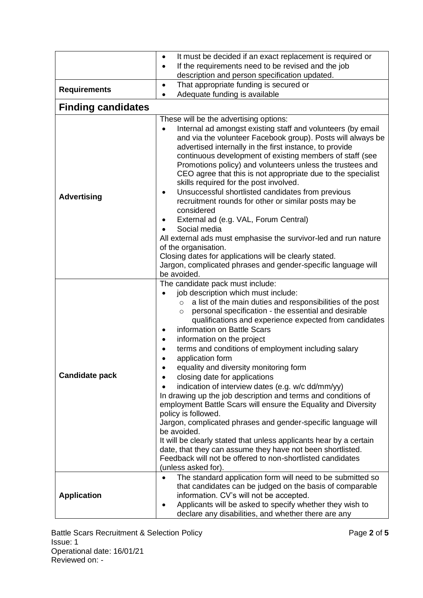|                           | It must be decided if an exact replacement is required or<br>$\bullet$<br>If the requirements need to be revised and the job<br>$\bullet$<br>description and person specification updated.                                                                                                                                                                                                                                                                                                                                                                                                                                                                                                                                                                                                                                                                                                                                                                                                                                                 |  |  |  |
|---------------------------|--------------------------------------------------------------------------------------------------------------------------------------------------------------------------------------------------------------------------------------------------------------------------------------------------------------------------------------------------------------------------------------------------------------------------------------------------------------------------------------------------------------------------------------------------------------------------------------------------------------------------------------------------------------------------------------------------------------------------------------------------------------------------------------------------------------------------------------------------------------------------------------------------------------------------------------------------------------------------------------------------------------------------------------------|--|--|--|
|                           | That appropriate funding is secured or<br>$\bullet$                                                                                                                                                                                                                                                                                                                                                                                                                                                                                                                                                                                                                                                                                                                                                                                                                                                                                                                                                                                        |  |  |  |
| <b>Requirements</b>       | Adequate funding is available<br>$\bullet$                                                                                                                                                                                                                                                                                                                                                                                                                                                                                                                                                                                                                                                                                                                                                                                                                                                                                                                                                                                                 |  |  |  |
| <b>Finding candidates</b> |                                                                                                                                                                                                                                                                                                                                                                                                                                                                                                                                                                                                                                                                                                                                                                                                                                                                                                                                                                                                                                            |  |  |  |
|                           | These will be the advertising options:                                                                                                                                                                                                                                                                                                                                                                                                                                                                                                                                                                                                                                                                                                                                                                                                                                                                                                                                                                                                     |  |  |  |
| <b>Advertising</b>        | Internal ad amongst existing staff and volunteers (by email<br>$\bullet$<br>and via the volunteer Facebook group). Posts will always be<br>advertised internally in the first instance, to provide<br>continuous development of existing members of staff (see<br>Promotions policy) and volunteers unless the trustees and<br>CEO agree that this is not appropriate due to the specialist<br>skills required for the post involved.<br>Unsuccessful shortlisted candidates from previous<br>$\bullet$<br>recruitment rounds for other or similar posts may be<br>considered<br>External ad (e.g. VAL, Forum Central)<br>Social media<br>All external ads must emphasise the survivor-led and run nature<br>of the organisation.<br>Closing dates for applications will be clearly stated.                                                                                                                                                                                                                                                |  |  |  |
|                           | Jargon, complicated phrases and gender-specific language will<br>be avoided.                                                                                                                                                                                                                                                                                                                                                                                                                                                                                                                                                                                                                                                                                                                                                                                                                                                                                                                                                               |  |  |  |
| <b>Candidate pack</b>     | The candidate pack must include:<br>job description which must include:<br>a list of the main duties and responsibilities of the post<br>$\circ$<br>personal specification - the essential and desirable<br>$\circ$<br>qualifications and experience expected from candidates<br>information on Battle Scars<br>$\bullet$<br>information on the project<br>terms and conditions of employment including salary<br>application form<br>equality and diversity monitoring form<br>closing date for applications<br>٠<br>indication of interview dates (e.g. w/c dd/mm/yy)<br>In drawing up the job description and terms and conditions of<br>employment Battle Scars will ensure the Equality and Diversity<br>policy is followed.<br>Jargon, complicated phrases and gender-specific language will<br>be avoided.<br>It will be clearly stated that unless applicants hear by a certain<br>date, that they can assume they have not been shortlisted.<br>Feedback will not be offered to non-shortlisted candidates<br>(unless asked for). |  |  |  |
| <b>Application</b>        | The standard application form will need to be submitted so<br>that candidates can be judged on the basis of comparable<br>information. CV's will not be accepted.<br>Applicants will be asked to specify whether they wish to<br>declare any disabilities, and whether there are any                                                                                                                                                                                                                                                                                                                                                                                                                                                                                                                                                                                                                                                                                                                                                       |  |  |  |

Battle Scars Recruitment & Selection Policy Page **2** of **5** Issue: 1 Operational date: 16/01/21 Reviewed on: -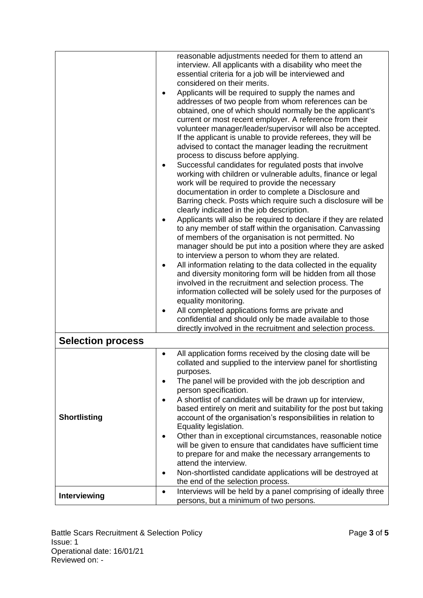|                          |           | reasonable adjustments needed for them to attend an                                                               |
|--------------------------|-----------|-------------------------------------------------------------------------------------------------------------------|
|                          |           | interview. All applicants with a disability who meet the                                                          |
|                          |           | essential criteria for a job will be interviewed and                                                              |
|                          |           | considered on their merits.                                                                                       |
|                          | ٠         | Applicants will be required to supply the names and                                                               |
|                          |           | addresses of two people from whom references can be                                                               |
|                          |           | obtained, one of which should normally be the applicant's                                                         |
|                          |           | current or most recent employer. A reference from their                                                           |
|                          |           | volunteer manager/leader/supervisor will also be accepted.                                                        |
|                          |           | If the applicant is unable to provide referees, they will be                                                      |
|                          |           | advised to contact the manager leading the recruitment                                                            |
|                          |           | process to discuss before applying.                                                                               |
|                          | $\bullet$ | Successful candidates for regulated posts that involve                                                            |
|                          |           | working with children or vulnerable adults, finance or legal                                                      |
|                          |           | work will be required to provide the necessary                                                                    |
|                          |           | documentation in order to complete a Disclosure and                                                               |
|                          |           | Barring check. Posts which require such a disclosure will be                                                      |
|                          |           | clearly indicated in the job description.                                                                         |
|                          |           | Applicants will also be required to declare if they are related                                                   |
|                          |           | to any member of staff within the organisation. Canvassing<br>of members of the organisation is not permitted. No |
|                          |           | manager should be put into a position where they are asked                                                        |
|                          |           | to interview a person to whom they are related.                                                                   |
|                          | $\bullet$ | All information relating to the data collected in the equality                                                    |
|                          |           | and diversity monitoring form will be hidden from all those                                                       |
|                          |           | involved in the recruitment and selection process. The                                                            |
|                          |           | information collected will be solely used for the purposes of                                                     |
|                          |           | equality monitoring.                                                                                              |
|                          | $\bullet$ | All completed applications forms are private and                                                                  |
|                          |           | confidential and should only be made available to those                                                           |
|                          |           | directly involved in the recruitment and selection process.                                                       |
| <b>Selection process</b> |           |                                                                                                                   |
|                          | $\bullet$ | All application forms received by the closing date will be                                                        |
|                          |           | collated and supplied to the interview panel for shortlisting                                                     |
|                          |           | purposes.                                                                                                         |
|                          | ٠         | The panel will be provided with the job description and                                                           |
|                          |           | person specification.                                                                                             |
|                          | $\bullet$ | A shortlist of candidates will be drawn up for interview,                                                         |
|                          |           | based entirely on merit and suitability for the post but taking                                                   |
| <b>Shortlisting</b>      |           | account of the organisation's responsibilities in relation to                                                     |
|                          |           | Equality legislation.<br>Other than in exceptional circumstances, reasonable notice                               |
|                          | $\bullet$ | will be given to ensure that candidates have sufficient time                                                      |
|                          |           | to prepare for and make the necessary arrangements to                                                             |
|                          |           | attend the interview.                                                                                             |
|                          | ٠         | Non-shortlisted candidate applications will be destroyed at                                                       |
|                          |           | the end of the selection process.                                                                                 |
|                          | $\bullet$ | Interviews will be held by a panel comprising of ideally three                                                    |
| Interviewing             |           | persons, but a minimum of two persons.                                                                            |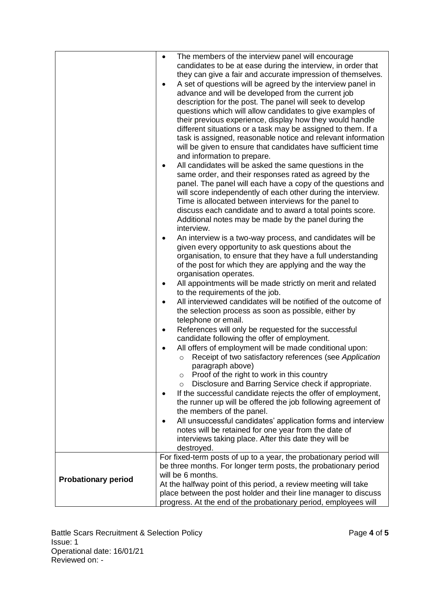|                            | The members of the interview panel will encourage<br>$\bullet$<br>candidates to be at ease during the interview, in order that<br>they can give a fair and accurate impression of themselves.<br>A set of questions will be agreed by the interview panel in<br>$\bullet$<br>advance and will be developed from the current job<br>description for the post. The panel will seek to develop<br>questions which will allow candidates to give examples of<br>their previous experience, display how they would handle<br>different situations or a task may be assigned to them. If a<br>task is assigned, reasonable notice and relevant information<br>will be given to ensure that candidates have sufficient time<br>and information to prepare.<br>All candidates will be asked the same questions in the<br>٠<br>same order, and their responses rated as agreed by the<br>panel. The panel will each have a copy of the questions and<br>will score independently of each other during the interview.<br>Time is allocated between interviews for the panel to<br>discuss each candidate and to award a total points score.<br>Additional notes may be made by the panel during the<br>interview.<br>An interview is a two-way process, and candidates will be<br>٠<br>given every opportunity to ask questions about the<br>organisation, to ensure that they have a full understanding<br>of the post for which they are applying and the way the<br>organisation operates.<br>All appointments will be made strictly on merit and related<br>$\bullet$<br>to the requirements of the job.<br>All interviewed candidates will be notified of the outcome of<br>$\bullet$<br>the selection process as soon as possible, either by<br>telephone or email.<br>$\bullet$ |
|----------------------------|------------------------------------------------------------------------------------------------------------------------------------------------------------------------------------------------------------------------------------------------------------------------------------------------------------------------------------------------------------------------------------------------------------------------------------------------------------------------------------------------------------------------------------------------------------------------------------------------------------------------------------------------------------------------------------------------------------------------------------------------------------------------------------------------------------------------------------------------------------------------------------------------------------------------------------------------------------------------------------------------------------------------------------------------------------------------------------------------------------------------------------------------------------------------------------------------------------------------------------------------------------------------------------------------------------------------------------------------------------------------------------------------------------------------------------------------------------------------------------------------------------------------------------------------------------------------------------------------------------------------------------------------------------------------------------------------------------------------------------------------------------------------------|
|                            | References will only be requested for the successful<br>candidate following the offer of employment.<br>All offers of employment will be made conditional upon:                                                                                                                                                                                                                                                                                                                                                                                                                                                                                                                                                                                                                                                                                                                                                                                                                                                                                                                                                                                                                                                                                                                                                                                                                                                                                                                                                                                                                                                                                                                                                                                                              |
|                            | Receipt of two satisfactory references (see Application<br>$\circ$<br>paragraph above)<br>Proof of the right to work in this country<br>$\circ$<br>Disclosure and Barring Service check if appropriate.<br>$\circ$<br>If the successful candidate rejects the offer of employment,<br>the runner up will be offered the job following agreement of<br>the members of the panel.<br>All unsuccessful candidates' application forms and interview                                                                                                                                                                                                                                                                                                                                                                                                                                                                                                                                                                                                                                                                                                                                                                                                                                                                                                                                                                                                                                                                                                                                                                                                                                                                                                                              |
|                            | notes will be retained for one year from the date of<br>interviews taking place. After this date they will be<br>destroyed.                                                                                                                                                                                                                                                                                                                                                                                                                                                                                                                                                                                                                                                                                                                                                                                                                                                                                                                                                                                                                                                                                                                                                                                                                                                                                                                                                                                                                                                                                                                                                                                                                                                  |
| <b>Probationary period</b> | For fixed-term posts of up to a year, the probationary period will<br>be three months. For longer term posts, the probationary period<br>will be 6 months.<br>At the halfway point of this period, a review meeting will take<br>place between the post holder and their line manager to discuss<br>progress. At the end of the probationary period, employees will                                                                                                                                                                                                                                                                                                                                                                                                                                                                                                                                                                                                                                                                                                                                                                                                                                                                                                                                                                                                                                                                                                                                                                                                                                                                                                                                                                                                          |